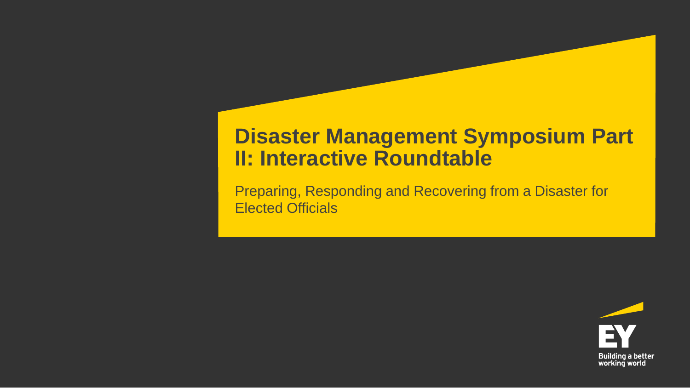### **Disaster Management Symposium Part II: Interactive Roundtable**

Preparing, Responding and Recovering from a Disaster for Elected Officials

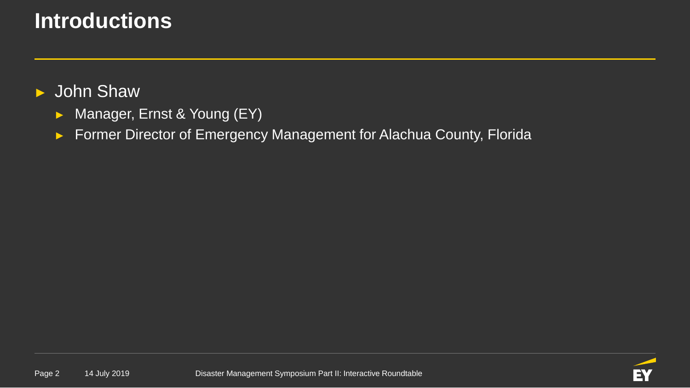## **Introductions**

#### ► John Shaw

- ► Manager, Ernst & Young (EY)
- ► Former Director of Emergency Management for Alachua County, Florida

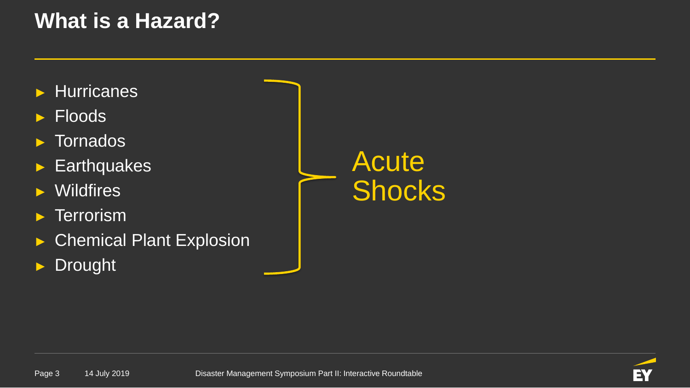## **What is a Hazard?**

- ► Hurricanes
- ► Floods
- ► Tornados
- ► Earthquakes
- ► Wildfires
- ► Terrorism
- ► Chemical Plant Explosion
- ► Drought

# Acute Shocks

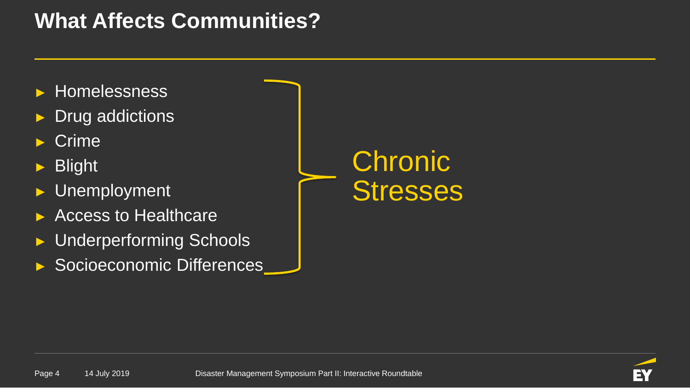## **What Affects Communities?**

- ► Homelessness
- Drug addictions
- **Crime**
- ► Blight
- Unemployment
- ► Access to Healthcare
- Underperforming Schools
- Socioeconomic Differences

# **Chronic Stresses**

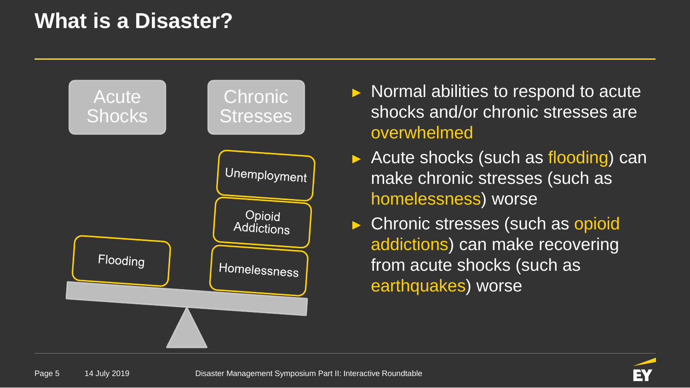## **What is a Disaster?**



- ► Normal abilities to respond to acute shocks and/or chronic stresses are overwhelmed
- ► Acute shocks (such as flooding) can make chronic stresses (such as homelessness) worse
- ► Chronic stresses (such as opioid addictions) can make recovering from acute shocks (such as earthquakes) worse

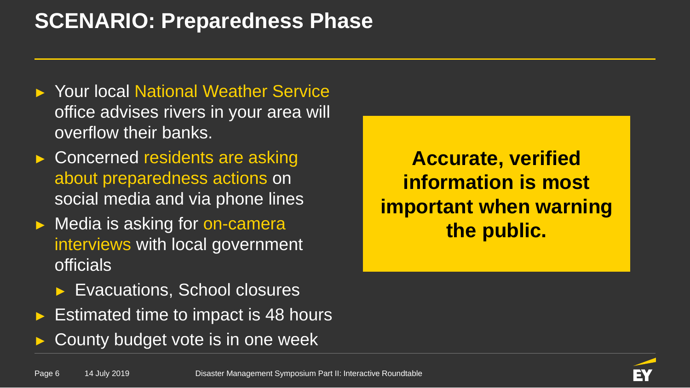## **SCENARIO: Preparedness Phase**

- ► Your local National Weather Service office advises rivers in your area will overflow their banks.
- ► Concerned residents are asking about preparedness actions on social media and via phone lines
- ► Media is asking for on-camera interviews with local government officials
	- Evacuations, School closures
- Estimated time to impact is 48 hours
- County budget vote is in one week

**Accurate, verified information is most important when warning the public.**

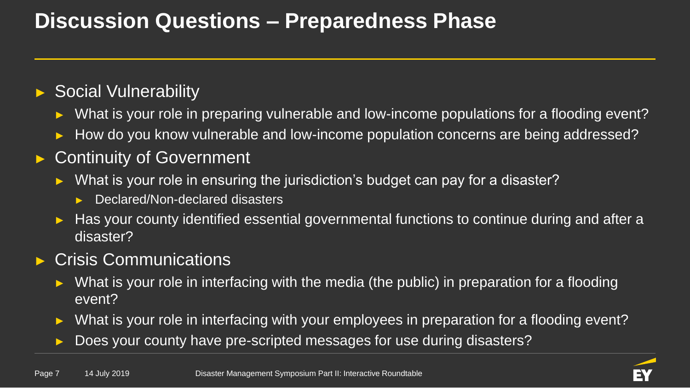## **Discussion Questions – Preparedness Phase**

#### ► Social Vulnerability

- What is your role in preparing vulnerable and low-income populations for a flooding event?
- How do you know vulnerable and low-income population concerns are being addressed?

#### **Continuity of Government**

- What is your role in ensuring the jurisdiction's budget can pay for a disaster?
	- Declared/Non-declared disasters
- Has your county identified essential governmental functions to continue during and after a disaster?

#### Crisis Communications

- What is your role in interfacing with the media (the public) in preparation for a flooding event?
- What is your role in interfacing with your employees in preparation for a flooding event?
- Does your county have pre-scripted messages for use during disasters?

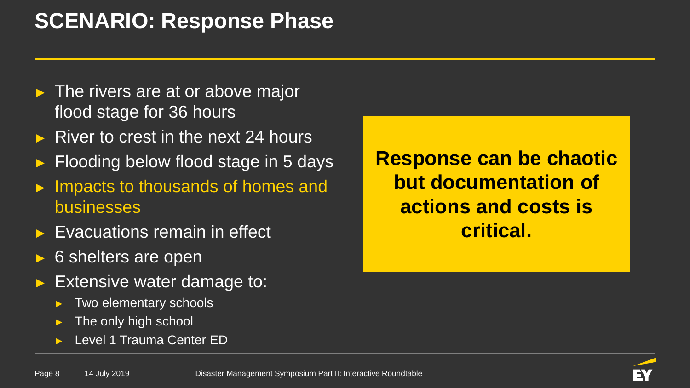## **SCENARIO: Response Phase**

- $\blacktriangleright$  The rivers are at or above major flood stage for 36 hours
- River to crest in the next 24 hours
- Flooding below flood stage in 5 days
- Impacts to thousands of homes and businesses
- Evacuations remain in effect
- 6 shelters are open
- Extensive water damage to:
	- Two elementary schools
	- The only high school
	- Level 1 Trauma Center ED

**Response can be chaotic but documentation of actions and costs is critical.**

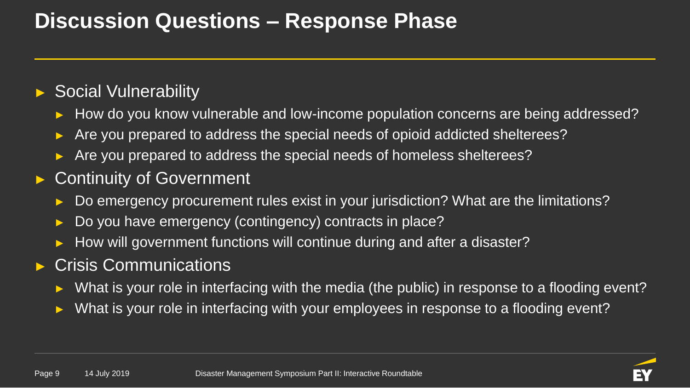## **Discussion Questions – Response Phase**

#### ► Social Vulnerability

- How do you know vulnerable and low-income population concerns are being addressed?
- Are you prepared to address the special needs of opioid addicted shelterees?
- Are you prepared to address the special needs of homeless shelterees?

#### Continuity of Government

- Do emergency procurement rules exist in your jurisdiction? What are the limitations?
- Do you have emergency (contingency) contracts in place?
- How will government functions will continue during and after a disaster?

#### Crisis Communications

- What is your role in interfacing with the media (the public) in response to a flooding event?
- What is your role in interfacing with your employees in response to a flooding event?

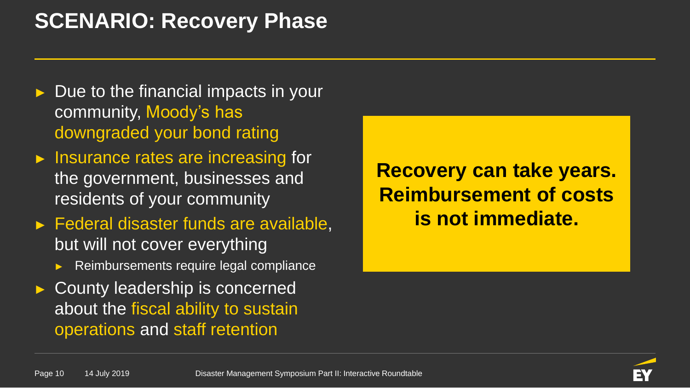## **SCENARIO: Recovery Phase**

- Due to the financial impacts in your community, Moody's has downgraded your bond rating
- ► Insurance rates are increasing for the government, businesses and residents of your community
- ► Federal disaster funds are available, but will not cover everything
	- Reimbursements require legal compliance
- ► County leadership is concerned about the fiscal ability to sustain operations and staff retention

**Recovery can take years. Reimbursement of costs is not immediate.**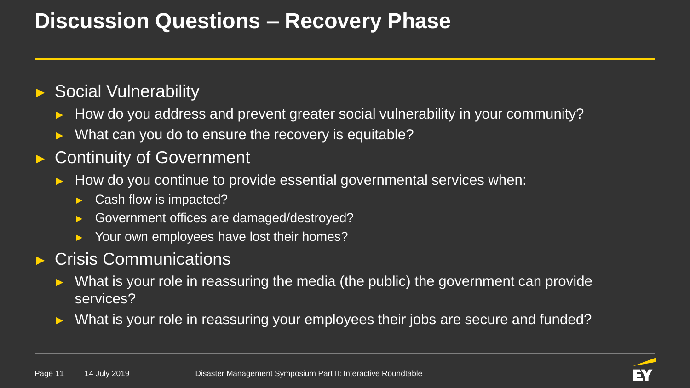## **Discussion Questions – Recovery Phase**

#### ► Social Vulnerability

- How do you address and prevent greater social vulnerability in your community?
- What can you do to ensure the recovery is equitable?

#### **Continuity of Government**

- How do you continue to provide essential governmental services when:
	- ► Cash flow is impacted?
	- Government offices are damaged/destroyed?
	- Your own employees have lost their homes?

#### **Crisis Communications**

- What is your role in reassuring the media (the public) the government can provide services?
- What is your role in reassuring your employees their jobs are secure and funded?